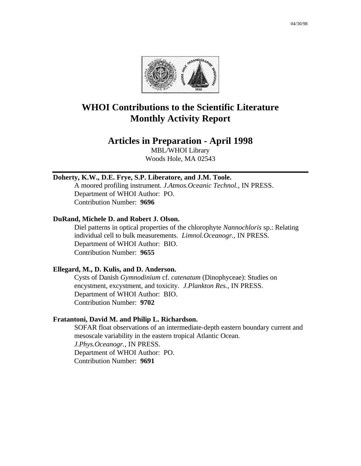

# **WHOI Contributions to the Scientific Literature Monthly Activity Report**

# **Articles in Preparation - April 1998**

MBL/WHOI Library Woods Hole, MA 02543

#### **Doherty, K.W., D.E. Frye, S.P. Liberatore, and J.M. Toole.**

A moored profiling instrument. *J.Atmos.Oceanic Technol.*, IN PRESS. Department of WHOI Author: PO. Contribution Number: **9696**

#### **DuRand, Michele D. and Robert J. Olson.**

Diel patterns in optical properties of the chlorophyte *Nannochloris* sp.: Relating individual cell to bulk measurements. *Limnol.Oceanogr.*, IN PRESS. Department of WHOI Author: BIO. Contribution Number: **9655**

#### **Ellegard, M., D. Kulis, and D. Anderson.**

Cysts of Danish *Gymnodinium* cf. *catenatum* (Dinophyceae): Studies on encystment, excystment, and toxicity. *J.Plankton Res.*, IN PRESS. Department of WHOI Author: BIO. Contribution Number: **9702**

#### **Fratantoni, David M. and Philip L. Richardson.**

SOFAR float observations of an intermediate-depth eastern boundary current and mesoscale variability in the eastern tropical Atlantic Ocean. *J.Phys.Oceanogr.*, IN PRESS. Department of WHOI Author: PO. Contribution Number: **9691**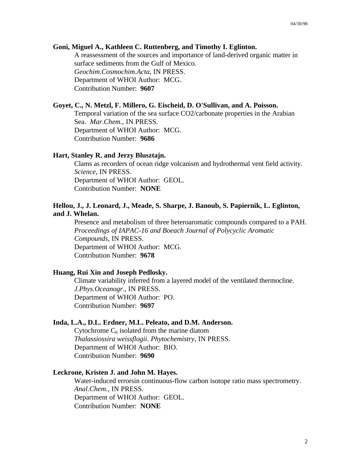#### **Goni, Miguel A., Kathleen C. Ruttenberg, and Timothy I. Eglinton.**

A reassessment of the sources and importance of land-derived organic matter in surface sediments from the Gulf of Mexico. *Geochim.Cosmochim.Acta*, IN PRESS. Department of WHOI Author: MCG. Contribution Number: **9607**

# **Goyet, C., N. Metzl, F. Millero, G. Eischeid, D. O'Sullivan, and A. Poisson.**

Temporal variation of the sea surface CO2/carbonate properties in the Arabian Sea. *Mar.Chem.*, IN PRESS. Department of WHOI Author: MCG. Contribution Number: **9686**

#### **Hart, Stanley R. and Jerzy Blusztajn.**

Clams as recorders of ocean ridge volcanism and hydrothermal vent field activity. *Science*, IN PRESS. Department of WHOI Author: GEOL. Contribution Number: **NONE**

#### **Hellou, J., J. Leonard, J., Meade, S. Sharpe, J. Banoub, S. Papiernik, L. Eglinton, and J. Whelan.**

Presence and metabolism of three heteroaromatic compounds compared to a PAH. *Proceedings of IAPAC-16 and Boeach Journal of Polycyclic Aromatic Compounds*, IN PRESS. Department of WHOI Author: MCG. Contribution Number: **9678**

#### **Huang, Rui Xin and Joseph Pedlosky.**

Climate variability inferred from a layered model of the ventilated thermocline. *J.Phys.Oceanogr.*, IN PRESS. Department of WHOI Author: PO. Contribution Number: **9697**

#### **Inda, L.A., D.L. Erdner, M.L. Peleato, and D.M. Anderson.**

Cytochrome  $C_6$  isolated from the marine diatom *Thalassiossira weissflogii*. *Phytochemistry*, IN PRESS. Department of WHOI Author: BIO. Contribution Number: **9690**

## **Leckrone, Kristen J. and John M. Hayes.**

Water-induced errorsin continuous-flow carbon isotope ratio mass spectrometry. *Anal.Chem.*, IN PRESS. Department of WHOI Author: GEOL. Contribution Number: **NONE**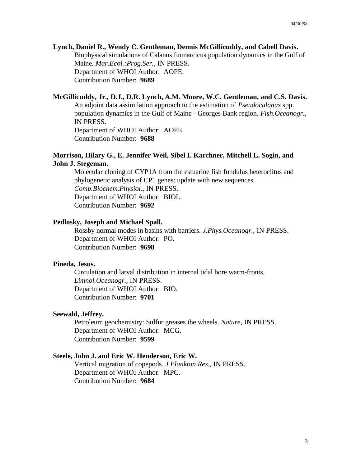#### **Lynch, Daniel R., Wendy C. Gentleman, Dennis McGillicuddy, and Cabell Davis.**

Biophysical simulations of Calanus finmarcicus population dynamics in the Gulf of Maine. *Mar.Ecol.:Prog.Ser.*, IN PRESS. Department of WHOI Author: AOPE. Contribution Number: **9689**

#### **McGillicuddy, Jr., D.J., D.R. Lynch, A.M. Moore, W.C. Gentleman, and C.S. Davis.**

An adjoint data assimilation approach to the estimation of *Pseudocalanus* spp. population dynamics in the Gulf of Maine - Georges Bank region. *Fish.Oceanogr.*, IN PRESS.

Department of WHOI Author: AOPE. Contribution Number: **9688**

# **Morrison, Hilary G., E. Jennifer Weil, Sibel I. Karchner, Mitchell L. Sogin, and John J. Stegeman.**

Molecular cloning of CYP1A from the estuarine fish fundulus heteroclitus and phylogenetic analysis of CP1 genes: update with new sequences. *Comp.Biochem.Physiol.*, IN PRESS. Department of WHOI Author: BIOL. Contribution Number: **9692**

#### **Pedlosky, Joseph and Michael Spall.**

Rossby normal modes in basins with barriers. *J.Phys.Oceanogr.*, IN PRESS. Department of WHOI Author: PO. Contribution Number: **9698**

#### **Pineda, Jesus.**

Circulation and larval distribution in internal tidal bore warm-fronts. *Limnol.Oceanogr.*, IN PRESS. Department of WHOI Author: BIO. Contribution Number: **9701**

## **Seewald, Jeffrey.**

Petroleum geochemistry: Sulfur greases the wheels. *Nature*, IN PRESS. Department of WHOI Author: MCG. Contribution Number: **9599**

#### **Steele, John J. and Eric W. Henderson, Eric W.**

Vertical migration of copepods. *J.Plankton Res.*, IN PRESS. Department of WHOI Author: MPC. Contribution Number: **9684**